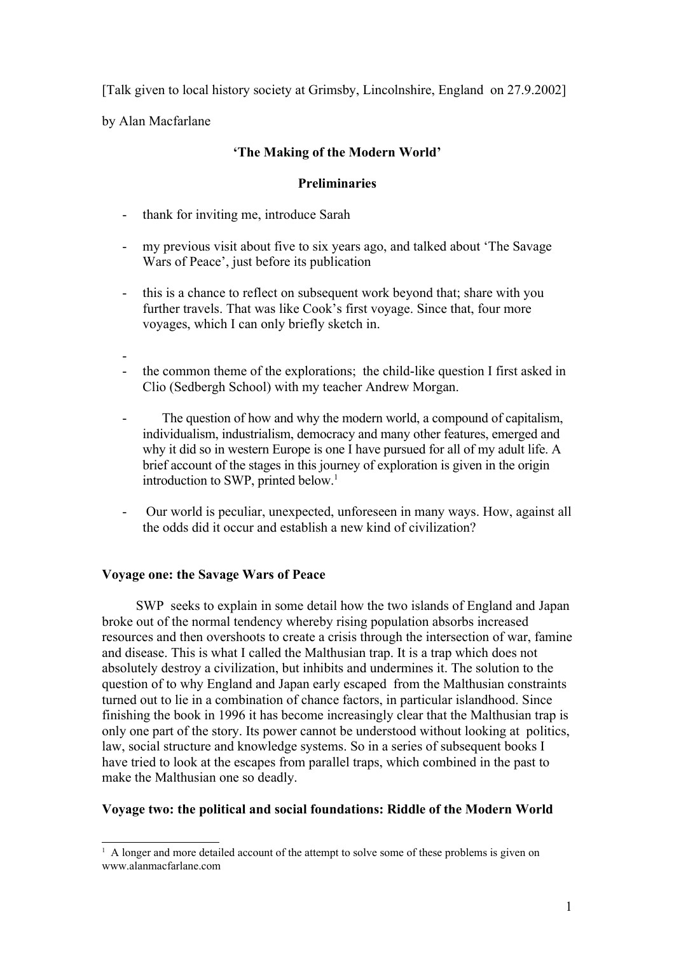[Talk given to local history society at Grimsby, Lincolnshire, England on 27.9.2002]

by Alan Macfarlane

# **'The Making of the Modern World'**

## **Preliminaries**

- thank for inviting me, introduce Sarah
- my previous visit about five to six years ago, and talked about 'The Savage Wars of Peace', just before its publication
- this is a chance to reflect on subsequent work beyond that; share with you further travels. That was like Cook's first voyage. Since that, four more voyages, which I can only briefly sketch in.
- - the common theme of the explorations; the child-like question I first asked in Clio (Sedbergh School) with my teacher Andrew Morgan.
- The question of how and why the modern world, a compound of capitalism, individualism, industrialism, democracy and many other features, emerged and why it did so in western Europe is one I have pursued for all of my adult life. A brief account of the stages in this journey of exploration is given in the origin introduction to SWP, printed below. [1](#page-0-0)
- Our world is peculiar, unexpected, unforeseen in many ways. How, against all the odds did it occur and establish a new kind of civilization?

## **Voyage one: the Savage Wars of Peace**

 SWP seeks to explain in some detail how the two islands of England and Japan broke out of the normal tendency whereby rising population absorbs increased resources and then overshoots to create a crisis through the intersection of war, famine and disease. This is what I called the Malthusian trap. It is a trap which does not absolutely destroy a civilization, but inhibits and undermines it. The solution to the question of to why England and Japan early escaped from the Malthusian constraints turned out to lie in a combination of chance factors, in particular islandhood. Since finishing the book in 1996 it has become increasingly clear that the Malthusian trap is only one part of the story. Its power cannot be understood without looking at politics, law, social structure and knowledge systems. So in a series of subsequent books I have tried to look at the escapes from parallel traps, which combined in the past to make the Malthusian one so deadly.

## **Voyage two: the political and social foundations: Riddle of the Modern World**

<span id="page-0-0"></span><sup>&</sup>lt;sup>1</sup> A longer and more detailed account of the attempt to solve some of these problems is given on www.alanmacfarlane.com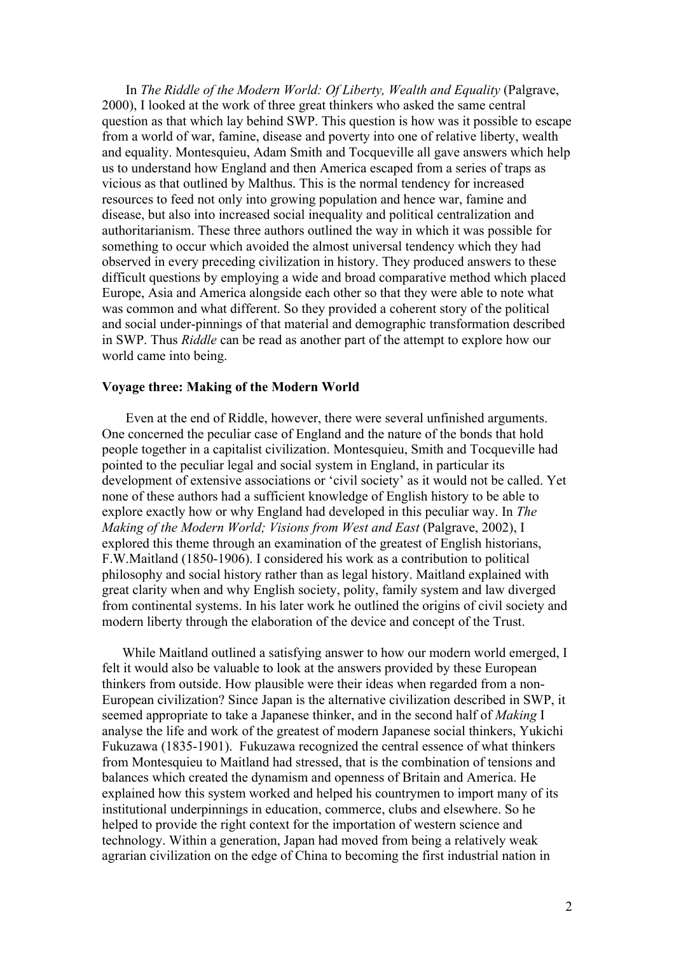In *The Riddle of the Modern World: Of Liberty, Wealth and Equality* (Palgrave, 2000), I looked at the work of three great thinkers who asked the same central question as that which lay behind SWP. This question is how was it possible to escape from a world of war, famine, disease and poverty into one of relative liberty, wealth and equality. Montesquieu, Adam Smith and Tocqueville all gave answers which help us to understand how England and then America escaped from a series of traps as vicious as that outlined by Malthus. This is the normal tendency for increased resources to feed not only into growing population and hence war, famine and disease, but also into increased social inequality and political centralization and authoritarianism. These three authors outlined the way in which it was possible for something to occur which avoided the almost universal tendency which they had observed in every preceding civilization in history. They produced answers to these difficult questions by employing a wide and broad comparative method which placed Europe, Asia and America alongside each other so that they were able to note what was common and what different. So they provided a coherent story of the political and social under-pinnings of that material and demographic transformation described in SWP. Thus *Riddle* can be read as another part of the attempt to explore how our world came into being.

#### **Voyage three: Making of the Modern World**

 Even at the end of Riddle, however, there were several unfinished arguments. One concerned the peculiar case of England and the nature of the bonds that hold people together in a capitalist civilization. Montesquieu, Smith and Tocqueville had pointed to the peculiar legal and social system in England, in particular its development of extensive associations or 'civil society' as it would not be called. Yet none of these authors had a sufficient knowledge of English history to be able to explore exactly how or why England had developed in this peculiar way. In *The Making of the Modern World; Visions from West and East* (Palgrave, 2002), I explored this theme through an examination of the greatest of English historians, F.W.Maitland (1850-1906). I considered his work as a contribution to political philosophy and social history rather than as legal history. Maitland explained with great clarity when and why English society, polity, family system and law diverged from continental systems. In his later work he outlined the origins of civil society and modern liberty through the elaboration of the device and concept of the Trust.

 While Maitland outlined a satisfying answer to how our modern world emerged, I felt it would also be valuable to look at the answers provided by these European thinkers from outside. How plausible were their ideas when regarded from a non-European civilization? Since Japan is the alternative civilization described in SWP, it seemed appropriate to take a Japanese thinker, and in the second half of *Making* I analyse the life and work of the greatest of modern Japanese social thinkers, Yukichi Fukuzawa (1835-1901). Fukuzawa recognized the central essence of what thinkers from Montesquieu to Maitland had stressed, that is the combination of tensions and balances which created the dynamism and openness of Britain and America. He explained how this system worked and helped his countrymen to import many of its institutional underpinnings in education, commerce, clubs and elsewhere. So he helped to provide the right context for the importation of western science and technology. Within a generation, Japan had moved from being a relatively weak agrarian civilization on the edge of China to becoming the first industrial nation in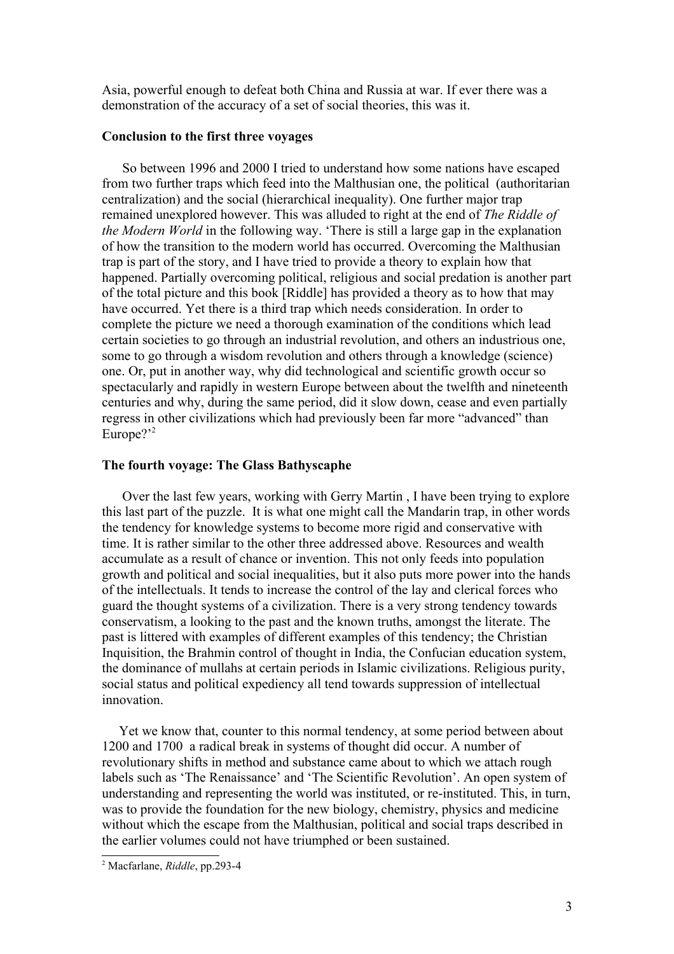Asia, powerful enough to defeat both China and Russia at war. If ever there was a demonstration of the accuracy of a set of social theories, this was it.

#### **Conclusion to the first three voyages**

 So between 1996 and 2000 I tried to understand how some nations have escaped from two further traps which feed into the Malthusian one, the political (authoritarian centralization) and the social (hierarchical inequality). One further major trap remained unexplored however. This was alluded to right at the end of *The Riddle of the Modern World* in the following way. 'There is still a large gap in the explanation of how the transition to the modern world has occurred. Overcoming the Malthusian trap is part of the story, and I have tried to provide a theory to explain how that happened. Partially overcoming political, religious and social predation is another part of the total picture and this book [Riddle] has provided a theory as to how that may have occurred. Yet there is a third trap which needs consideration. In order to complete the picture we need a thorough examination of the conditions which lead certain societies to go through an industrial revolution, and others an industrious one, some to go through a wisdom revolution and others through a knowledge (science) one. Or, put in another way, why did technological and scientific growth occur so spectacularly and rapidly in western Europe between about the twelfth and nineteenth centuries and why, during the same period, did it slow down, cease and even partially regress in other civilizations which had previously been far more "advanced" than Europe?'<sup>[2](#page-2-0)</sup>

#### **The fourth voyage: The Glass Bathyscaphe**

 Over the last few years, working with Gerry Martin , I have been trying to explore this last part of the puzzle. It is what one might call the Mandarin trap, in other words the tendency for knowledge systems to become more rigid and conservative with time. It is rather similar to the other three addressed above. Resources and wealth accumulate as a result of chance or invention. This not only feeds into population growth and political and social inequalities, but it also puts more power into the hands of the intellectuals. It tends to increase the control of the lay and clerical forces who guard the thought systems of a civilization. There is a very strong tendency towards conservatism, a looking to the past and the known truths, amongst the literate. The past is littered with examples of different examples of this tendency; the Christian Inquisition, the Brahmin control of thought in India, the Confucian education system, the dominance of mullahs at certain periods in Islamic civilizations. Religious purity, social status and political expediency all tend towards suppression of intellectual innovation.

 Yet we know that, counter to this normal tendency, at some period between about 1200 and 1700 a radical break in systems of thought did occur. A number of revolutionary shifts in method and substance came about to which we attach rough labels such as 'The Renaissance' and 'The Scientific Revolution'. An open system of understanding and representing the world was instituted, or re-instituted. This, in turn, was to provide the foundation for the new biology, chemistry, physics and medicine without which the escape from the Malthusian, political and social traps described in the earlier volumes could not have triumphed or been sustained.

<span id="page-2-0"></span><sup>2</sup> Macfarlane, *Riddle*, pp.293-4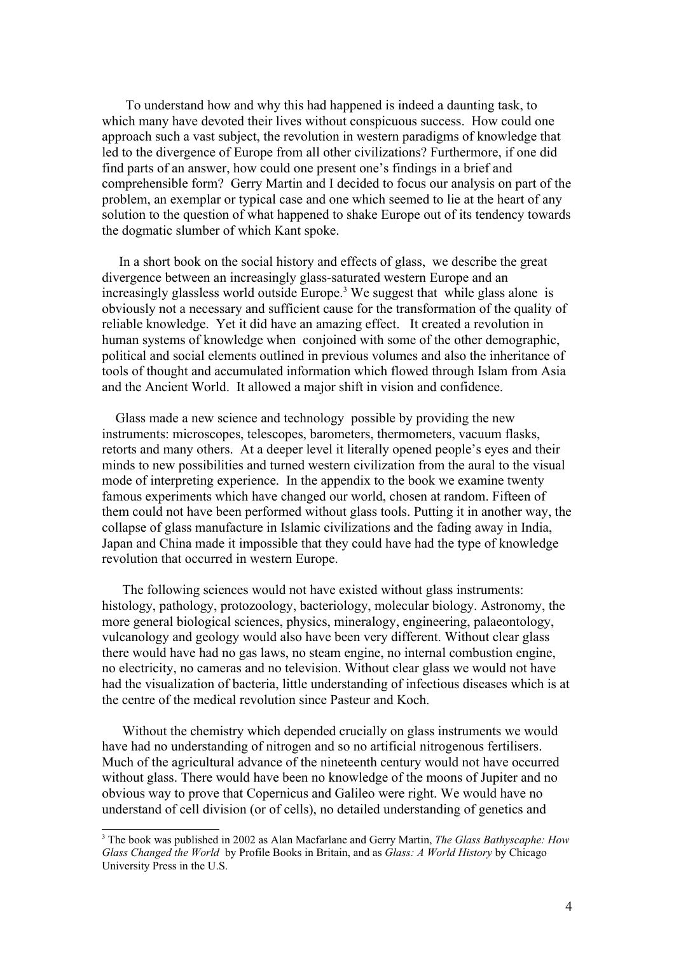To understand how and why this had happened is indeed a daunting task, to which many have devoted their lives without conspicuous success. How could one approach such a vast subject, the revolution in western paradigms of knowledge that led to the divergence of Europe from all other civilizations? Furthermore, if one did find parts of an answer, how could one present one's findings in a brief and comprehensible form? Gerry Martin and I decided to focus our analysis on part of the problem, an exemplar or typical case and one which seemed to lie at the heart of any solution to the question of what happened to shake Europe out of its tendency towards the dogmatic slumber of which Kant spoke.

 In a short book on the social history and effects of glass, we describe the great divergence between an increasingly glass-saturated western Europe and an increasingly glassless world outside Europe. [3](#page-3-0) We suggest that while glass alone is obviously not a necessary and sufficient cause for the transformation of the quality of reliable knowledge. Yet it did have an amazing effect. It created a revolution in human systems of knowledge when conjoined with some of the other demographic, political and social elements outlined in previous volumes and also the inheritance of tools of thought and accumulated information which flowed through Islam from Asia and the Ancient World. It allowed a major shift in vision and confidence.

 Glass made a new science and technology possible by providing the new instruments: microscopes, telescopes, barometers, thermometers, vacuum flasks, retorts and many others. At a deeper level it literally opened people's eyes and their minds to new possibilities and turned western civilization from the aural to the visual mode of interpreting experience. In the appendix to the book we examine twenty famous experiments which have changed our world, chosen at random. Fifteen of them could not have been performed without glass tools. Putting it in another way, the collapse of glass manufacture in Islamic civilizations and the fading away in India, Japan and China made it impossible that they could have had the type of knowledge revolution that occurred in western Europe.

 The following sciences would not have existed without glass instruments: histology, pathology, protozoology, bacteriology, molecular biology. Astronomy, the more general biological sciences, physics, mineralogy, engineering, palaeontology, vulcanology and geology would also have been very different. Without clear glass there would have had no gas laws, no steam engine, no internal combustion engine, no electricity, no cameras and no television. Without clear glass we would not have had the visualization of bacteria, little understanding of infectious diseases which is at the centre of the medical revolution since Pasteur and Koch.

 Without the chemistry which depended crucially on glass instruments we would have had no understanding of nitrogen and so no artificial nitrogenous fertilisers. Much of the agricultural advance of the nineteenth century would not have occurred without glass. There would have been no knowledge of the moons of Jupiter and no obvious way to prove that Copernicus and Galileo were right. We would have no understand of cell division (or of cells), no detailed understanding of genetics and

<span id="page-3-0"></span><sup>3</sup> The book was published in 2002 as Alan Macfarlane and Gerry Martin, *The Glass Bathyscaphe: How Glass Changed the World* by Profile Books in Britain, and as *Glass: A World History* by Chicago University Press in the U.S.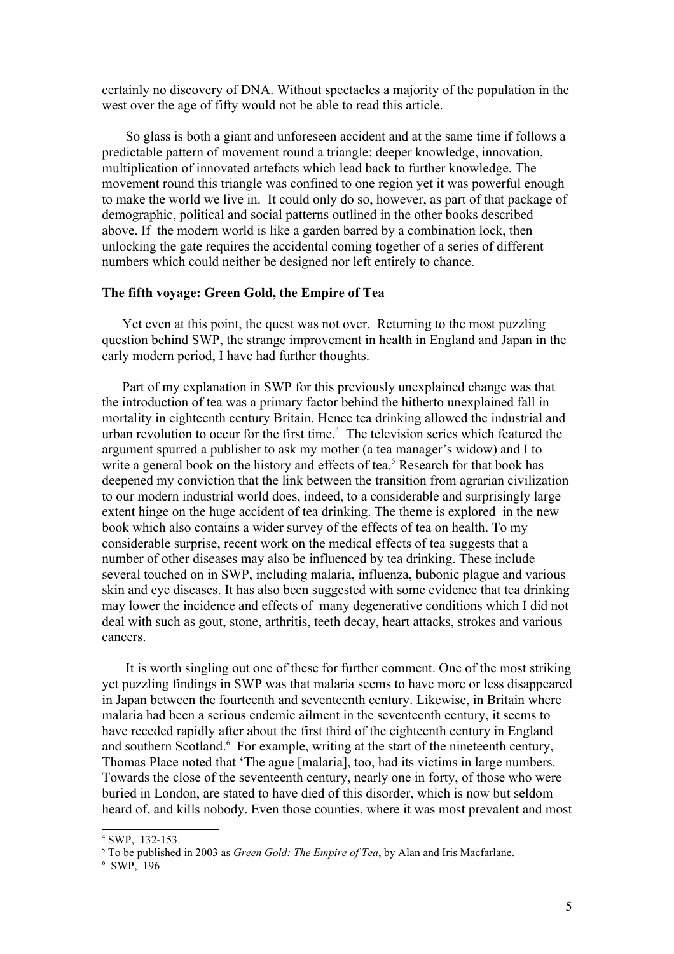certainly no discovery of DNA. Without spectacles a majority of the population in the west over the age of fifty would not be able to read this article.

 So glass is both a giant and unforeseen accident and at the same time if follows a predictable pattern of movement round a triangle: deeper knowledge, innovation, multiplication of innovated artefacts which lead back to further knowledge. The movement round this triangle was confined to one region yet it was powerful enough to make the world we live in. It could only do so, however, as part of that package of demographic, political and social patterns outlined in the other books described above. If the modern world is like a garden barred by a combination lock, then unlocking the gate requires the accidental coming together of a series of different numbers which could neither be designed nor left entirely to chance.

#### **The fifth voyage: Green Gold, the Empire of Tea**

 Yet even at this point, the quest was not over. Returning to the most puzzling question behind SWP, the strange improvement in health in England and Japan in the early modern period, I have had further thoughts.

 Part of my explanation in SWP for this previously unexplained change was that the introduction of tea was a primary factor behind the hitherto unexplained fall in mortality in eighteenth century Britain. Hence tea drinking allowed the industrial and urban revolution to occur for the first time. [4](#page-4-0) The television series which featured the argument spurred a publisher to ask my mother (a tea manager's widow) and I to write a general book on the history and effects of tea.<sup>[5](#page-4-1)</sup> Research for that book has deepened my conviction that the link between the transition from agrarian civilization to our modern industrial world does, indeed, to a considerable and surprisingly large extent hinge on the huge accident of tea drinking. The theme is explored in the new book which also contains a wider survey of the effects of tea on health. To my considerable surprise, recent work on the medical effects of tea suggests that a number of other diseases may also be influenced by tea drinking. These include several touched on in SWP, including malaria, influenza, bubonic plague and various skin and eye diseases. It has also been suggested with some evidence that tea drinking may lower the incidence and effects of many degenerative conditions which I did not deal with such as gout, stone, arthritis, teeth decay, heart attacks, strokes and various cancers.

 It is worth singling out one of these for further comment. One of the most striking yet puzzling findings in SWP was that malaria seems to have more or less disappeared in Japan between the fourteenth and seventeenth century. Likewise, in Britain where malaria had been a serious endemic ailment in the seventeenth century, it seems to have receded rapidly after about the first third of the eighteenth century in England and southern Scotland.<sup>[6](#page-4-2)</sup> For example, writing at the start of the nineteenth century, Thomas Place noted that 'The ague [malaria], too, had its victims in large numbers. Towards the close of the seventeenth century, nearly one in forty, of those who were buried in London, are stated to have died of this disorder, which is now but seldom heard of, and kills nobody. Even those counties, where it was most prevalent and most

<span id="page-4-0"></span><sup>4</sup> SWP, 132-153.

<span id="page-4-1"></span><sup>5</sup> To be published in 2003 as *Green Gold: The Empire of Tea*, by Alan and Iris Macfarlane.

<span id="page-4-2"></span><sup>6</sup> SWP, 196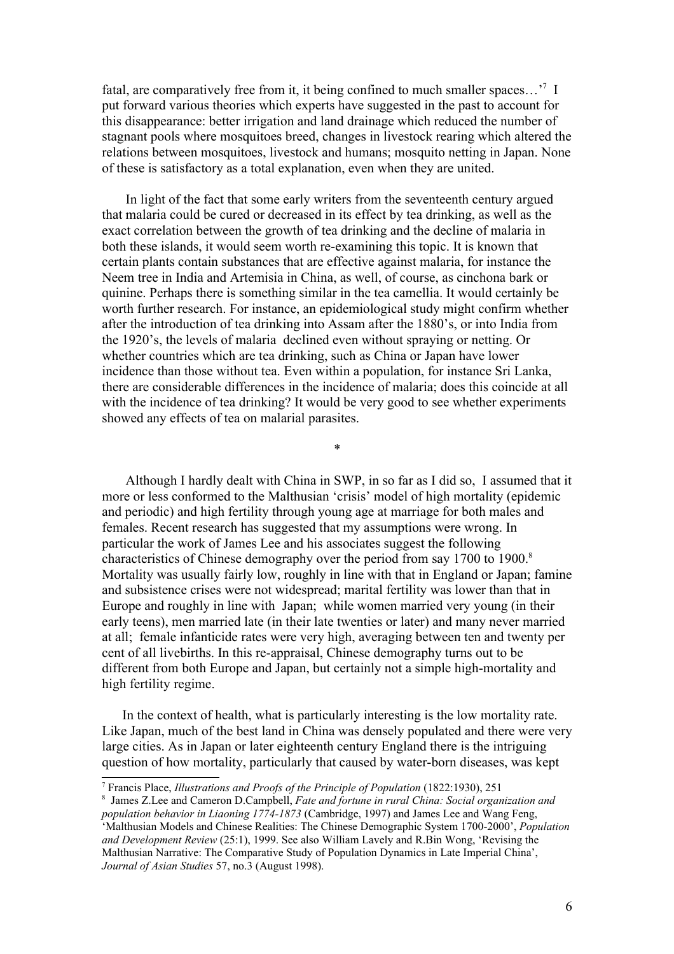fatal, are comparatively free from it, it being confined to much smaller spaces...'<sup>[7](#page-5-0)</sup> I put forward various theories which experts have suggested in the past to account for this disappearance: better irrigation and land drainage which reduced the number of stagnant pools where mosquitoes breed, changes in livestock rearing which altered the relations between mosquitoes, livestock and humans; mosquito netting in Japan. None of these is satisfactory as a total explanation, even when they are united.

 In light of the fact that some early writers from the seventeenth century argued that malaria could be cured or decreased in its effect by tea drinking, as well as the exact correlation between the growth of tea drinking and the decline of malaria in both these islands, it would seem worth re-examining this topic. It is known that certain plants contain substances that are effective against malaria, for instance the Neem tree in India and Artemisia in China, as well, of course, as cinchona bark or quinine. Perhaps there is something similar in the tea camellia. It would certainly be worth further research. For instance, an epidemiological study might confirm whether after the introduction of tea drinking into Assam after the 1880's, or into India from the 1920's, the levels of malaria declined even without spraying or netting. Or whether countries which are tea drinking, such as China or Japan have lower incidence than those without tea. Even within a population, for instance Sri Lanka, there are considerable differences in the incidence of malaria; does this coincide at all with the incidence of tea drinking? It would be very good to see whether experiments showed any effects of tea on malarial parasites.

 Although I hardly dealt with China in SWP, in so far as I did so, I assumed that it more or less conformed to the Malthusian 'crisis' model of high mortality (epidemic and periodic) and high fertility through young age at marriage for both males and females. Recent research has suggested that my assumptions were wrong. In particular the work of James Lee and his associates suggest the following characteristics of Chinese demography over the period from say 1700 to 1900.[8](#page-5-1) Mortality was usually fairly low, roughly in line with that in England or Japan; famine and subsistence crises were not widespread; marital fertility was lower than that in Europe and roughly in line with Japan; while women married very young (in their early teens), men married late (in their late twenties or later) and many never married at all; female infanticide rates were very high, averaging between ten and twenty per cent of all livebirths. In this re-appraisal, Chinese demography turns out to be different from both Europe and Japan, but certainly not a simple high-mortality and high fertility regime.

\*

 In the context of health, what is particularly interesting is the low mortality rate. Like Japan, much of the best land in China was densely populated and there were very large cities. As in Japan or later eighteenth century England there is the intriguing question of how mortality, particularly that caused by water-born diseases, was kept

<span id="page-5-0"></span><sup>7</sup> Francis Place, *Illustrations and Proofs of the Principle of Population* (1822:1930), 251

<span id="page-5-1"></span><sup>8</sup> James Z.Lee and Cameron D.Campbell, *Fate and fortune in rural China: Social organization and population behavior in Liaoning 1774-1873* (Cambridge, 1997) and James Lee and Wang Feng, 'Malthusian Models and Chinese Realities: The Chinese Demographic System 1700-2000', *Population and Development Review* (25:1), 1999. See also William Lavely and R.Bin Wong, 'Revising the Malthusian Narrative: The Comparative Study of Population Dynamics in Late Imperial China', *Journal of Asian Studies* 57, no.3 (August 1998).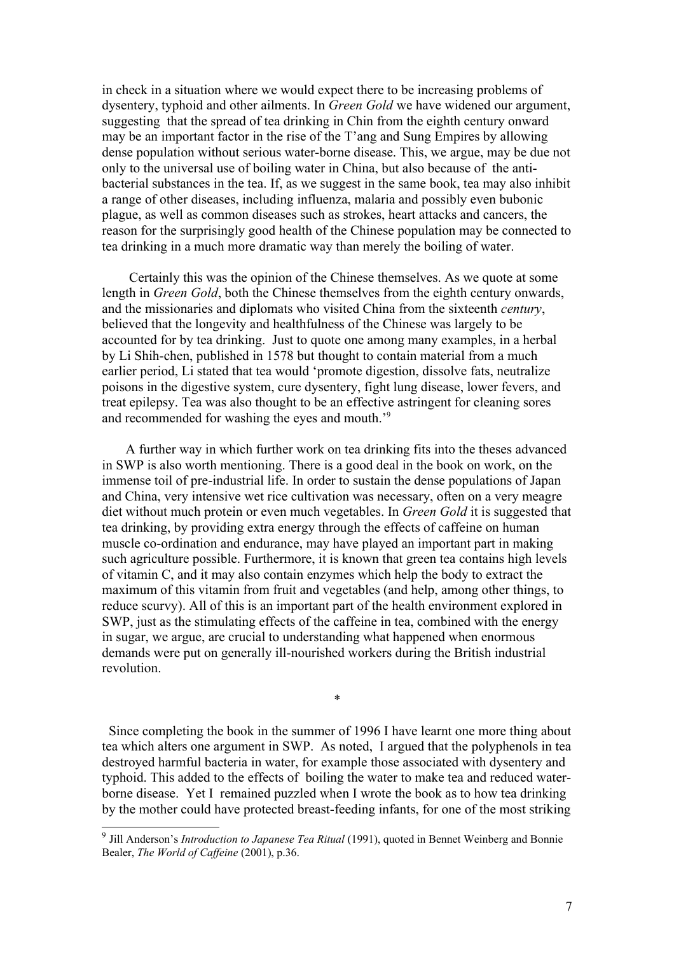in check in a situation where we would expect there to be increasing problems of dysentery, typhoid and other ailments. In *Green Gold* we have widened our argument, suggesting that the spread of tea drinking in Chin from the eighth century onward may be an important factor in the rise of the T'ang and Sung Empires by allowing dense population without serious water-borne disease. This, we argue, may be due not only to the universal use of boiling water in China, but also because of the antibacterial substances in the tea. If, as we suggest in the same book, tea may also inhibit a range of other diseases, including influenza, malaria and possibly even bubonic plague, as well as common diseases such as strokes, heart attacks and cancers, the reason for the surprisingly good health of the Chinese population may be connected to tea drinking in a much more dramatic way than merely the boiling of water.

 Certainly this was the opinion of the Chinese themselves. As we quote at some length in *Green Gold*, both the Chinese themselves from the eighth century onwards, and the missionaries and diplomats who visited China from the sixteenth *century*, believed that the longevity and healthfulness of the Chinese was largely to be accounted for by tea drinking. Just to quote one among many examples, in a herbal by Li Shih-chen, published in 1578 but thought to contain material from a much earlier period, Li stated that tea would 'promote digestion, dissolve fats, neutralize poisons in the digestive system, cure dysentery, fight lung disease, lower fevers, and treat epilepsy. Tea was also thought to be an effective astringent for cleaning sores and recommended for washing the eyes and mouth.'[9](#page-6-0)

 A further way in which further work on tea drinking fits into the theses advanced in SWP is also worth mentioning. There is a good deal in the book on work, on the immense toil of pre-industrial life. In order to sustain the dense populations of Japan and China, very intensive wet rice cultivation was necessary, often on a very meagre diet without much protein or even much vegetables. In *Green Gold* it is suggested that tea drinking, by providing extra energy through the effects of caffeine on human muscle co-ordination and endurance, may have played an important part in making such agriculture possible. Furthermore, it is known that green tea contains high levels of vitamin C, and it may also contain enzymes which help the body to extract the maximum of this vitamin from fruit and vegetables (and help, among other things, to reduce scurvy). All of this is an important part of the health environment explored in SWP, just as the stimulating effects of the caffeine in tea, combined with the energy in sugar, we argue, are crucial to understanding what happened when enormous demands were put on generally ill-nourished workers during the British industrial revolution.

 Since completing the book in the summer of 1996 I have learnt one more thing about tea which alters one argument in SWP. As noted, I argued that the polyphenols in tea destroyed harmful bacteria in water, for example those associated with dysentery and typhoid. This added to the effects of boiling the water to make tea and reduced waterborne disease. Yet I remained puzzled when I wrote the book as to how tea drinking by the mother could have protected breast-feeding infants, for one of the most striking

\*

<span id="page-6-0"></span><sup>&</sup>lt;sup>9</sup> Jill Anderson's *Introduction to Japanese Tea Ritual* (1991), quoted in Bennet Weinberg and Bonnie Bealer, *The World of Caffeine* (2001), p.36.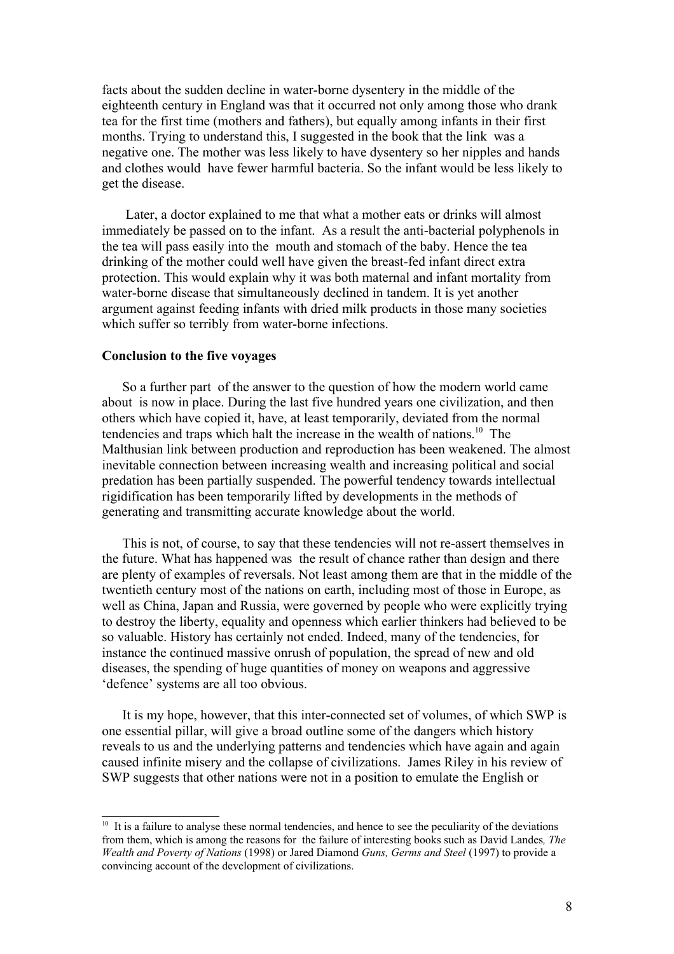facts about the sudden decline in water-borne dysentery in the middle of the eighteenth century in England was that it occurred not only among those who drank tea for the first time (mothers and fathers), but equally among infants in their first months. Trying to understand this, I suggested in the book that the link was a negative one. The mother was less likely to have dysentery so her nipples and hands and clothes would have fewer harmful bacteria. So the infant would be less likely to get the disease.

 Later, a doctor explained to me that what a mother eats or drinks will almost immediately be passed on to the infant. As a result the anti-bacterial polyphenols in the tea will pass easily into the mouth and stomach of the baby. Hence the tea drinking of the mother could well have given the breast-fed infant direct extra protection. This would explain why it was both maternal and infant mortality from water-borne disease that simultaneously declined in tandem. It is yet another argument against feeding infants with dried milk products in those many societies which suffer so terribly from water-borne infections.

#### **Conclusion to the five voyages**

 So a further part of the answer to the question of how the modern world came about is now in place. During the last five hundred years one civilization, and then others which have copied it, have, at least temporarily, deviated from the normal tendencies and traps which halt the increase in the wealth of nations. [10](#page-7-0) The Malthusian link between production and reproduction has been weakened. The almost inevitable connection between increasing wealth and increasing political and social predation has been partially suspended. The powerful tendency towards intellectual rigidification has been temporarily lifted by developments in the methods of generating and transmitting accurate knowledge about the world.

 This is not, of course, to say that these tendencies will not re-assert themselves in the future. What has happened was the result of chance rather than design and there are plenty of examples of reversals. Not least among them are that in the middle of the twentieth century most of the nations on earth, including most of those in Europe, as well as China, Japan and Russia, were governed by people who were explicitly trying to destroy the liberty, equality and openness which earlier thinkers had believed to be so valuable. History has certainly not ended. Indeed, many of the tendencies, for instance the continued massive onrush of population, the spread of new and old diseases, the spending of huge quantities of money on weapons and aggressive 'defence' systems are all too obvious.

 It is my hope, however, that this inter-connected set of volumes, of which SWP is one essential pillar, will give a broad outline some of the dangers which history reveals to us and the underlying patterns and tendencies which have again and again caused infinite misery and the collapse of civilizations. James Riley in his review of SWP suggests that other nations were not in a position to emulate the English or

<span id="page-7-0"></span><sup>&</sup>lt;sup>10</sup> It is a failure to analyse these normal tendencies, and hence to see the peculiarity of the deviations from them, which is among the reasons for the failure of interesting books such as David Landes*, The Wealth and Poverty of Nations* (1998) or Jared Diamond *Guns, Germs and Steel* (1997) to provide a convincing account of the development of civilizations.